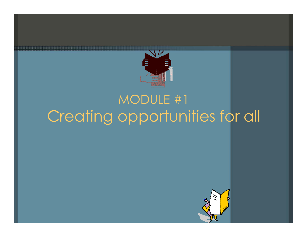

# MODULE #1 Creating opportunities for all

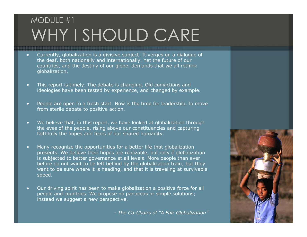## MODULE #1 WHY I SHOULD CARE

- • Currently, globalization is a divisive subject. It verges on a dialogue of the deaf, both nationally and internationally. Yet the future of our countries, and the destiny of our globe, demands that we all rethink globalization.
- • This report is timely. The debate is changing. Old convictions and ideologies have been tested by experience, and changed by example.
- $\scriptstyle\bullet$  People are open to a fresh start. Now is the time for leadership, to move from sterile debate to positive action.
- • We believe that, in this report, we have looked at globalization through the eyes of the people, rising above our constituencies and capturing faithfully the hopes and fears of our shared humanity.
- $\blacksquare$  Many recognize the opportunities for a better life that globalization presents. We believe their hopes are realizable, but only if globalization is subjected to better governance at all levels. More people than ever before do not want to be left behind by the globalization train; but they want to be sure where it is heading, and that it is traveling at survivable speed.
- • Our driving spirit has been to make globalization a positive force for all people and countries. We propose no panaceas or simple solutions; instead we suggest a new perspective.

*- The Co-Chairs of "A Fair Globalization"*

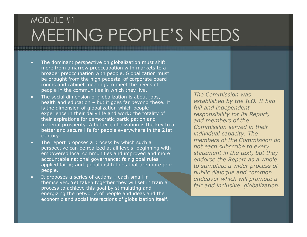#### MODULE #1 MEETING PEOPLE'S NEEDS

- •• The dominant perspective on globalization must shift more from a n arrow preoccupation with markets to a broader preoccupation with people. Gl o bali zation must be brought from the high pedestal of corporate board rooms and cabinet meetings to meet the needs of people in the communities in which they live.
- • The social dimension of globalization is about jobs, health and education – but it goes far beyond t hese. It is the dimension of globalization which people experience in their daily life and work: the totality of their aspirations for democratic p articipation and material prosperity. A better globalization is the key to a better and secure life for people everywhere in the 21st century.
- •• The report proposes a process by which such a perspective can be reali zed at all levels, beginning with empowered local communities and i mproved and more accountable national governance; fair global rules applied fairly; and global institutions that are more propeople.
- •• It proposes a series of actions – each small in themselves. Yet taken together they will set in train a process t o achieve this goal by stimulating and energizing the networks of people and ideas and the econo mic and social interactions of globalization itself.

*The Commission was established by the ILO. It had full and independent responsibility for its Rep ort, and members of the Commission served in their individual capacity. Th e members of the Commission do not each subscribe to every statement in the text, but they endorse the Report as a whole to stimulate a wider process of public dialogue and com mon endeavor w hich will promote a fair and inclusive globalization.*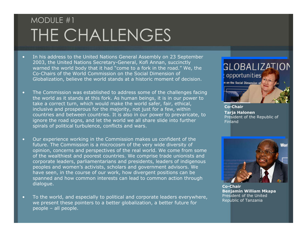## MODULE #1 THE CHALLENGES

- • In his address to the United Nations General Assembly on 23 September 2003, the United Nations Secretary-General, Kofi Annan, succinctly warned the world body that it had "come to a fork in the road." We, the Co-Chairs of the World Commission on the Social Dimension of Globalization, believe the world stands at a historic moment of decision.
- • The Commission was established to address some of the challenges facing the world as it stands at this fork. As human beings, it is in our power to take a correct turn, which would make the world safer, fair, ethical, inclusive and prosperous for the majority, not just for a few, within countries and between countries. It is also in our power to prevaricate, to ignore the road signs, and let the world we all share slide into further spirals of political turbulence, conflicts and wars.
- • Our experience working in the Commission makes us confident of the future. The Commission is a microcosm of the very wide diversity of opinion, concerns and perspectives of the real world. We come from some of the wealthiest and poorest countries. We comprise trade unionists and corporate leaders, parliamentarians and presidents, leaders of indigenous peoples and women's activists, scholars and government advisors. We have seen, in the course of our work, how divergent positions can be spanned and how common interests can lead to common action through dialogue.
- • To the world, and especially to political and corporate leaders everywhere, we present these pointers to a better globalization, a better future for people – all people.



**Co-ChairTarja Halonen** President of the Republic of Finland



**Co-ChairBenjamin William Mkapa** President of the United Republic of Tanzania